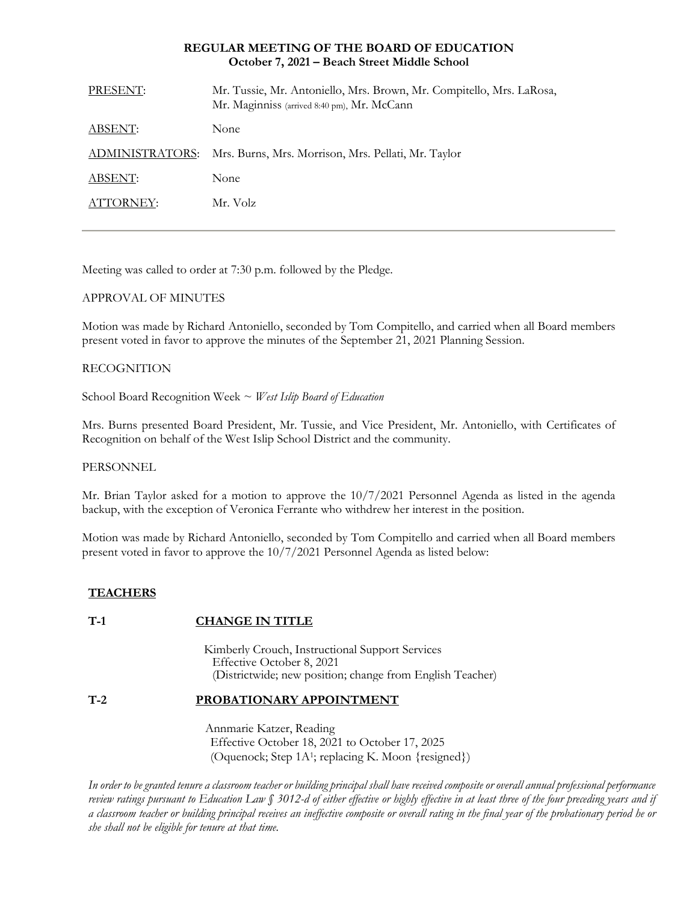## **REGULAR MEETING OF THE BOARD OF EDUCATION October 7, 2021 – Beach Street Middle School**

| PRESENT:        | Mr. Tussie, Mr. Antoniello, Mrs. Brown, Mr. Compitello, Mrs. LaRosa,<br>Mr. Maginniss (arrived 8:40 pm), Mr. McCann |
|-----------------|---------------------------------------------------------------------------------------------------------------------|
| ABSENT:         | <b>None</b>                                                                                                         |
| ADMINISTRATORS: | Mrs. Burns, Mrs. Morrison, Mrs. Pellati, Mr. Taylor                                                                 |
| ABSENT:         | None                                                                                                                |
| ATTORNEY:       | Mr. Volz                                                                                                            |
|                 |                                                                                                                     |

Meeting was called to order at 7:30 p.m. followed by the Pledge.

# APPROVAL OF MINUTES

Motion was made by Richard Antoniello, seconded by Tom Compitello, and carried when all Board members present voted in favor to approve the minutes of the September 21, 2021 Planning Session.

# RECOGNITION

School Board Recognition Week ~ *West Islip Board of Education*

Mrs. Burns presented Board President, Mr. Tussie, and Vice President, Mr. Antoniello, with Certificates of Recognition on behalf of the West Islip School District and the community.

### PERSONNEL

Mr. Brian Taylor asked for a motion to approve the 10/7/2021 Personnel Agenda as listed in the agenda backup, with the exception of Veronica Ferrante who withdrew her interest in the position.

Motion was made by Richard Antoniello, seconded by Tom Compitello and carried when all Board members present voted in favor to approve the 10/7/2021 Personnel Agenda as listed below:

# **TEACHERS**

# **T-1 CHANGE IN TITLE**

Kimberly Crouch, Instructional Support Services EEffective October 8, 2021 (Districtwide; new position; change from English Teacher)

# **T-2 PROBATIONARY APPOINTMENT**

Annmarie Katzer, Reading Effective October 18, 2021 to October 17, 2025 (Oquenock; Step 1A<sup>1</sup> ; replacing K. Moon {resigned})

*In order to be granted tenure a classroom teacher or building principal shall have received composite or overall annual professional performance review ratings pursuant to Education Law § 3012-d of either effective or highly effective in at least three of the four preceding years and if a classroom teacher or building principal receives an ineffective composite or overall rating in the final year of the probationary period he or she shall not be eligible for tenure at that time.*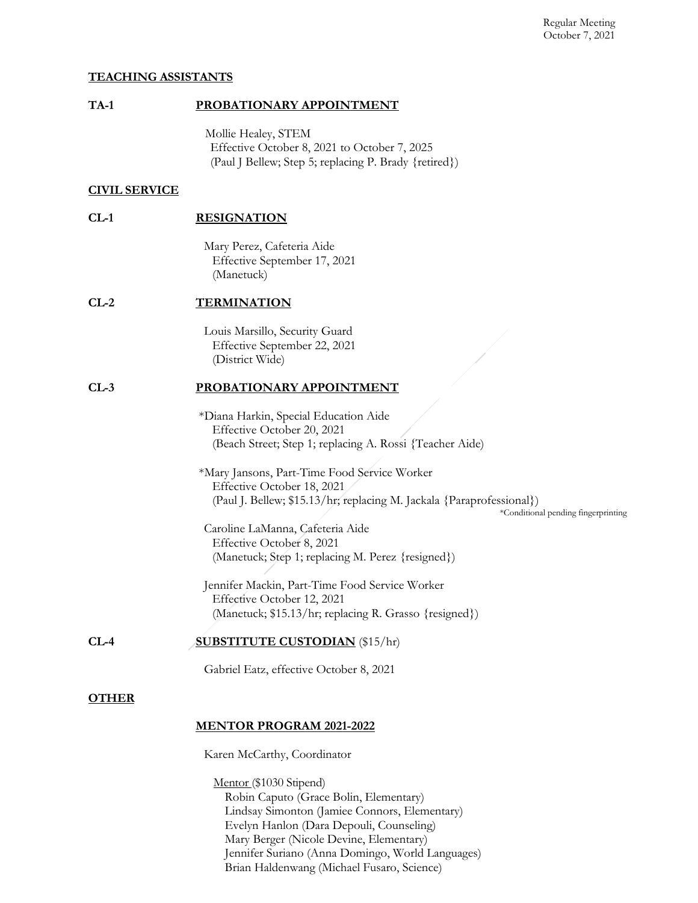## **TEACHING ASSISTANTS**

# **TA-1 PROBATIONARY APPOINTMENT**

Mollie Healey, STEM Effective October 8, 2021 to October 7, 2025 (Paul J Bellew; Step 5; replacing P. Brady {retired})

# **CIVIL SERVICE**

| CL-1 | <b>RESIGNATION</b> |
|------|--------------------|
|      |                    |

Mary Perez, Cafeteria Aide Effective September 17, 2021 (Manetuck)

### **CL-2 TERMINATION**

Louis Marsillo, Security Guard Effective September 22, 2021 (District Wide)

### **CL-3 PROBATIONARY APPOINTMENT**

\*Diana Harkin, Special Education Aide Effective October 20, 2021 (Beach Street; Step 1; replacing A. Rossi {Teacher Aide)

\*Mary Jansons, Part-Time Food Service Worker Effective October 18, 2021 (Paul J. Bellew; \$15.13/hr; replacing M. Jackala {Paraprofessional})

\*Conditional pending fingerprinting

Caroline LaManna, Cafeteria Aide Effective October 8, 2021 (Manetuck; Step 1; replacing M. Perez {resigned})

Jennifer Mackin, Part-Time Food Service Worker Effective October 12, 2021 (Manetuck; \$15.13/hr; replacing R. Grasso {resigned})

**CL-4 SUBSTITUTE CUSTODIAN** (\$15/hr)

Gabriel Eatz, effective October 8, 2021

### **OTHER**

### **MENTOR PROGRAM 2021-2022**

Karen McCarthy, Coordinator

Mentor (\$1030 Stipend) Robin Caputo (Grace Bolin, Elementary) Lindsay Simonton (Jamiee Connors, Elementary) Evelyn Hanlon (Dara Depouli, Counseling) Mary Berger (Nicole Devine, Elementary) Jennifer Suriano (Anna Domingo, World Languages) Brian Haldenwang (Michael Fusaro, Science)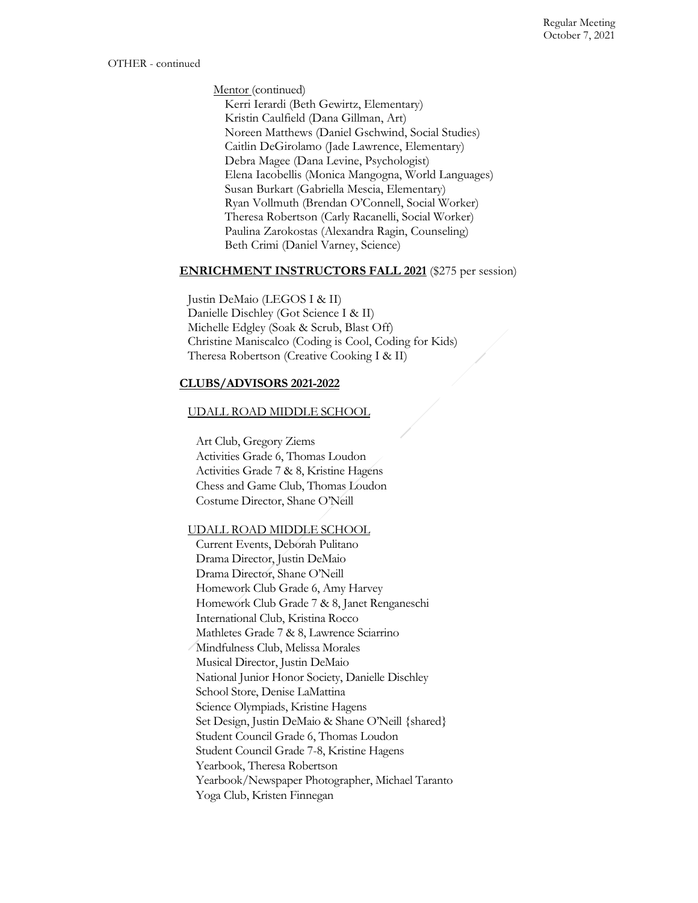Mentor (continued)

Kerri Ierardi (Beth Gewirtz, Elementary) Kristin Caulfield (Dana Gillman, Art) Noreen Matthews (Daniel Gschwind, Social Studies) Caitlin DeGirolamo (Jade Lawrence, Elementary) Debra Magee (Dana Levine, Psychologist) Elena Iacobellis (Monica Mangogna, World Languages) Susan Burkart (Gabriella Mescia, Elementary) Ryan Vollmuth (Brendan O'Connell, Social Worker) Theresa Robertson (Carly Racanelli, Social Worker) Paulina Zarokostas (Alexandra Ragin, Counseling) Beth Crimi (Daniel Varney, Science)

### **ENRICHMENT INSTRUCTORS FALL 2021** (\$275 per session)

Justin DeMaio (LEGOS I & II) Danielle Dischley (Got Science I & II) Michelle Edgley (Soak & Scrub, Blast Off) Christine Maniscalco (Coding is Cool, Coding for Kids) Theresa Robertson (Creative Cooking I & II)

# **CLUBS/ADVISORS 2021-2022**

# UDALL ROAD MIDDLE SCHOOL

Art Club, Gregory Ziems Activities Grade 6, Thomas Loudon Activities Grade 7 & 8, Kristine Hagens Chess and Game Club, Thomas Loudon Costume Director, Shane O'Neill

### UDALL ROAD MIDDLE SCHOOL

Current Events, Deborah Pulitano Drama Director, Justin DeMaio Drama Director, Shane O'Neill Homework Club Grade 6, Amy Harvey Homework Club Grade 7 & 8, Janet Renganeschi International Club, Kristina Rocco Mathletes Grade 7 & 8, Lawrence Sciarrino Mindfulness Club, Melissa Morales Musical Director, Justin DeMaio National Junior Honor Society, Danielle Dischley School Store, Denise LaMattina Science Olympiads, Kristine Hagens Set Design, Justin DeMaio & Shane O'Neill {shared} Student Council Grade 6, Thomas Loudon Student Council Grade 7-8, Kristine Hagens Yearbook, Theresa Robertson Yearbook/Newspaper Photographer, Michael Taranto Yoga Club, Kristen Finnegan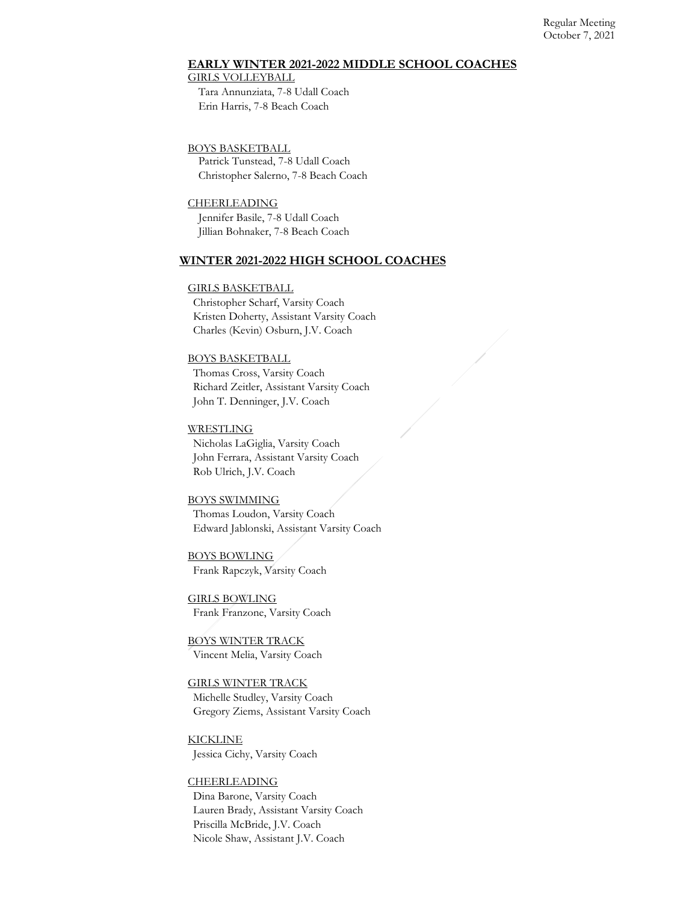#### Regular Meeting October 7, 2021

### **EARLY WINTER 2021-2022 MIDDLE SCHOOL COACHES**

#### GIRLS VOLLEYBALL

Tara Annunziata, 7-8 Udall Coach Erin Harris, 7-8 Beach Coach

#### BOYS BASKETBALL

Patrick Tunstead, 7-8 Udall Coach Christopher Salerno, 7-8 Beach Coach

#### **CHEERLEADING**

Jennifer Basile, 7-8 Udall Coach Jillian Bohnaker, 7-8 Beach Coach

### **WINTER 2021-2022 HIGH SCHOOL COACHES**

#### GIRLS BASKETBALL

Christopher Scharf, Varsity Coach Kristen Doherty, Assistant Varsity Coach Charles (Kevin) Osburn, J.V. Coach

### BOYS BASKETBALL

Thomas Cross, Varsity Coach Richard Zeitler, Assistant Varsity Coach John T. Denninger, J.V. Coach

#### **WRESTLING**

Nicholas LaGiglia, Varsity Coach John Ferrara, Assistant Varsity Coach Rob Ulrich, J.V. Coach

#### BOYS SWIMMING

Thomas Loudon, Varsity Coach Edward Jablonski, Assistant Varsity Coach

BOYS BOWLING Frank Rapczyk, Varsity Coach

GIRLS BOWLING Frank Franzone, Varsity Coach

BOYS WINTER TRACK Vincent Melia, Varsity Coach

# GIRLS WINTER TRACK Michelle Studley, Varsity Coach Gregory Ziems, Assistant Varsity Coach

KICKLINE Jessica Cichy, Varsity Coach

#### CHEERLEADING

Dina Barone, Varsity Coach Lauren Brady, Assistant Varsity Coach Priscilla McBride, J.V. Coach Nicole Shaw, Assistant J.V. Coach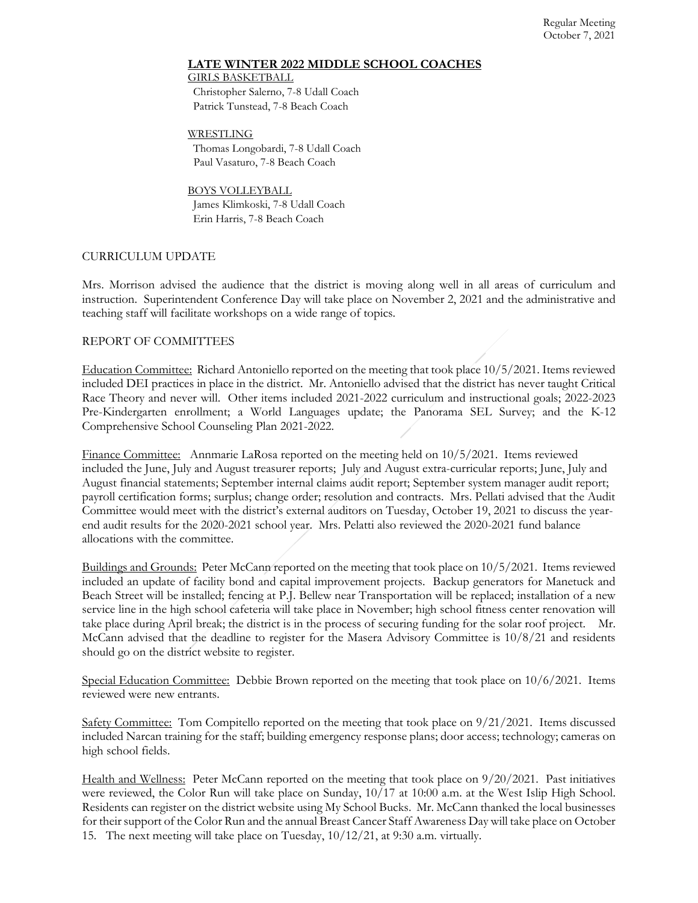## **LATE WINTER 2022 MIDDLE SCHOOL COACHES**

GIRLS BASKETBALL Christopher Salerno, 7-8 Udall Coach

Patrick Tunstead, 7-8 Beach Coach

WRESTLING Thomas Longobardi, 7-8 Udall Coach Paul Vasaturo, 7-8 Beach Coach

BOYS VOLLEYBALL James Klimkoski, 7-8 Udall Coach Erin Harris, 7-8 Beach Coach

# CURRICULUM UPDATE

Mrs. Morrison advised the audience that the district is moving along well in all areas of curriculum and instruction. Superintendent Conference Day will take place on November 2, 2021 and the administrative and teaching staff will facilitate workshops on a wide range of topics.

# REPORT OF COMMITTEES

Education Committee: Richard Antoniello reported on the meeting that took place 10/5/2021. Items reviewed included DEI practices in place in the district. Mr. Antoniello advised that the district has never taught Critical Race Theory and never will. Other items included 2021-2022 curriculum and instructional goals; 2022-2023 Pre-Kindergarten enrollment; a World Languages update; the Panorama SEL Survey; and the K-12 Comprehensive School Counseling Plan 2021-2022.

Finance Committee: Annmarie LaRosa reported on the meeting held on 10/5/2021. Items reviewed included the June, July and August treasurer reports; July and August extra-curricular reports; June, July and August financial statements; September internal claims audit report; September system manager audit report; payroll certification forms; surplus; change order; resolution and contracts. Mrs. Pellati advised that the Audit Committee would meet with the district's external auditors on Tuesday, October 19, 2021 to discuss the yearend audit results for the 2020-2021 school year. Mrs. Pelatti also reviewed the 2020-2021 fund balance allocations with the committee.

Buildings and Grounds: Peter McCann reported on the meeting that took place on 10/5/2021. Items reviewed included an update of facility bond and capital improvement projects. Backup generators for Manetuck and Beach Street will be installed; fencing at P.J. Bellew near Transportation will be replaced; installation of a new service line in the high school cafeteria will take place in November; high school fitness center renovation will take place during April break; the district is in the process of securing funding for the solar roof project. Mr. McCann advised that the deadline to register for the Masera Advisory Committee is 10/8/21 and residents should go on the district website to register.

Special Education Committee: Debbie Brown reported on the meeting that took place on 10/6/2021. Items reviewed were new entrants.

Safety Committee: Tom Compitello reported on the meeting that took place on 9/21/2021. Items discussed included Narcan training for the staff; building emergency response plans; door access; technology; cameras on high school fields.

Health and Wellness: Peter McCann reported on the meeting that took place on 9/20/2021. Past initiatives were reviewed, the Color Run will take place on Sunday, 10/17 at 10:00 a.m. at the West Islip High School. Residents can register on the district website using My School Bucks. Mr. McCann thanked the local businesses for their support of the Color Run and the annual Breast Cancer Staff Awareness Day will take place on October 15. The next meeting will take place on Tuesday, 10/12/21, at 9:30 a.m. virtually.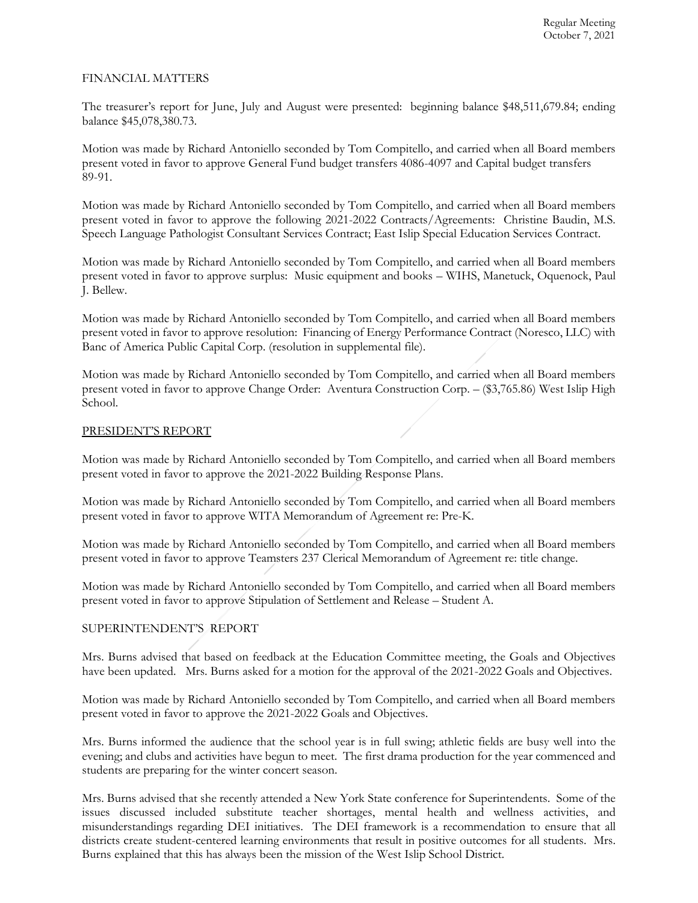# FINANCIAL MATTERS

The treasurer's report for June, July and August were presented: beginning balance \$48,511,679.84; ending balance \$45,078,380.73.

Motion was made by Richard Antoniello seconded by Tom Compitello, and carried when all Board members present voted in favor to approve General Fund budget transfers 4086-4097 and Capital budget transfers 89-91.

Motion was made by Richard Antoniello seconded by Tom Compitello, and carried when all Board members present voted in favor to approve the following 2021-2022 Contracts/Agreements: Christine Baudin, M.S. Speech Language Pathologist Consultant Services Contract; East Islip Special Education Services Contract.

Motion was made by Richard Antoniello seconded by Tom Compitello, and carried when all Board members present voted in favor to approve surplus: Music equipment and books – WIHS, Manetuck, Oquenock, Paul J. Bellew.

Motion was made by Richard Antoniello seconded by Tom Compitello, and carried when all Board members present voted in favor to approve resolution: Financing of Energy Performance Contract (Noresco, LLC) with Banc of America Public Capital Corp. (resolution in supplemental file).

Motion was made by Richard Antoniello seconded by Tom Compitello, and carried when all Board members present voted in favor to approve Change Order: Aventura Construction Corp. – (\$3,765.86) West Islip High School.

### PRESIDENT'S REPORT

Motion was made by Richard Antoniello seconded by Tom Compitello, and carried when all Board members present voted in favor to approve the 2021-2022 Building Response Plans.

Motion was made by Richard Antoniello seconded by Tom Compitello, and carried when all Board members present voted in favor to approve WITA Memorandum of Agreement re: Pre-K.

Motion was made by Richard Antoniello seconded by Tom Compitello, and carried when all Board members present voted in favor to approve Teamsters 237 Clerical Memorandum of Agreement re: title change.

Motion was made by Richard Antoniello seconded by Tom Compitello, and carried when all Board members present voted in favor to approve Stipulation of Settlement and Release – Student A.

### SUPERINTENDENT'S REPORT

Mrs. Burns advised that based on feedback at the Education Committee meeting, the Goals and Objectives have been updated. Mrs. Burns asked for a motion for the approval of the 2021-2022 Goals and Objectives.

Motion was made by Richard Antoniello seconded by Tom Compitello, and carried when all Board members present voted in favor to approve the 2021-2022 Goals and Objectives.

Mrs. Burns informed the audience that the school year is in full swing; athletic fields are busy well into the evening; and clubs and activities have begun to meet. The first drama production for the year commenced and students are preparing for the winter concert season.

Mrs. Burns advised that she recently attended a New York State conference for Superintendents. Some of the issues discussed included substitute teacher shortages, mental health and wellness activities, and misunderstandings regarding DEI initiatives. The DEI framework is a recommendation to ensure that all districts create student-centered learning environments that result in positive outcomes for all students. Mrs. Burns explained that this has always been the mission of the West Islip School District.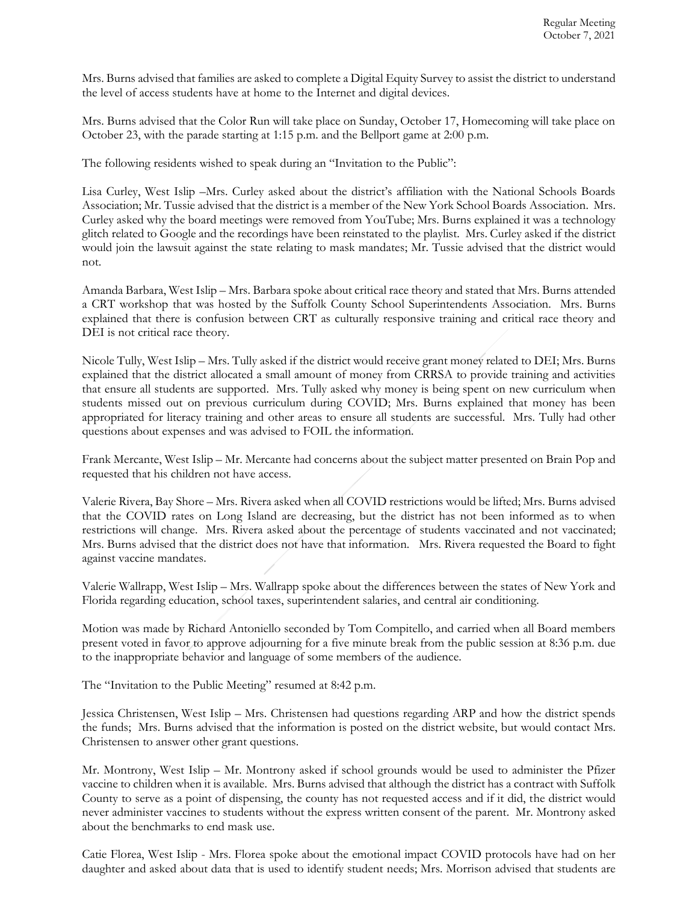Mrs. Burns advised that families are asked to complete a Digital Equity Survey to assist the district to understand the level of access students have at home to the Internet and digital devices.

Mrs. Burns advised that the Color Run will take place on Sunday, October 17, Homecoming will take place on October 23, with the parade starting at 1:15 p.m. and the Bellport game at 2:00 p.m.

The following residents wished to speak during an "Invitation to the Public":

Lisa Curley, West Islip –Mrs. Curley asked about the district's affiliation with the National Schools Boards Association; Mr. Tussie advised that the district is a member of the New York School Boards Association. Mrs. Curley asked why the board meetings were removed from YouTube; Mrs. Burns explained it was a technology glitch related to Google and the recordings have been reinstated to the playlist. Mrs. Curley asked if the district would join the lawsuit against the state relating to mask mandates; Mr. Tussie advised that the district would not.

Amanda Barbara, West Islip – Mrs. Barbara spoke about critical race theory and stated that Mrs. Burns attended a CRT workshop that was hosted by the Suffolk County School Superintendents Association. Mrs. Burns explained that there is confusion between CRT as culturally responsive training and critical race theory and DEI is not critical race theory.

Nicole Tully, West Islip – Mrs. Tully asked if the district would receive grant money related to DEI; Mrs. Burns explained that the district allocated a small amount of money from CRRSA to provide training and activities that ensure all students are supported. Mrs. Tully asked why money is being spent on new curriculum when students missed out on previous curriculum during COVID; Mrs. Burns explained that money has been appropriated for literacy training and other areas to ensure all students are successful. Mrs. Tully had other questions about expenses and was advised to FOIL the information.

Frank Mercante, West Islip – Mr. Mercante had concerns about the subject matter presented on Brain Pop and requested that his children not have access.

Valerie Rivera, Bay Shore – Mrs. Rivera asked when all COVID restrictions would be lifted; Mrs. Burns advised that the COVID rates on Long Island are decreasing, but the district has not been informed as to when restrictions will change. Mrs. Rivera asked about the percentage of students vaccinated and not vaccinated; Mrs. Burns advised that the district does not have that information. Mrs. Rivera requested the Board to fight against vaccine mandates.

Valerie Wallrapp, West Islip – Mrs. Wallrapp spoke about the differences between the states of New York and Florida regarding education, school taxes, superintendent salaries, and central air conditioning.

Motion was made by Richard Antoniello seconded by Tom Compitello, and carried when all Board members present voted in favor to approve adjourning for a five minute break from the public session at 8:36 p.m. due to the inappropriate behavior and language of some members of the audience.

The "Invitation to the Public Meeting" resumed at 8:42 p.m.

Jessica Christensen, West Islip – Mrs. Christensen had questions regarding ARP and how the district spends the funds; Mrs. Burns advised that the information is posted on the district website, but would contact Mrs. Christensen to answer other grant questions.

Mr. Montrony, West Islip – Mr. Montrony asked if school grounds would be used to administer the Pfizer vaccine to children when it is available. Mrs. Burns advised that although the district has a contract with Suffolk County to serve as a point of dispensing, the county has not requested access and if it did, the district would never administer vaccines to students without the express written consent of the parent. Mr. Montrony asked about the benchmarks to end mask use.

Catie Florea, West Islip - Mrs. Florea spoke about the emotional impact COVID protocols have had on her daughter and asked about data that is used to identify student needs; Mrs. Morrison advised that students are